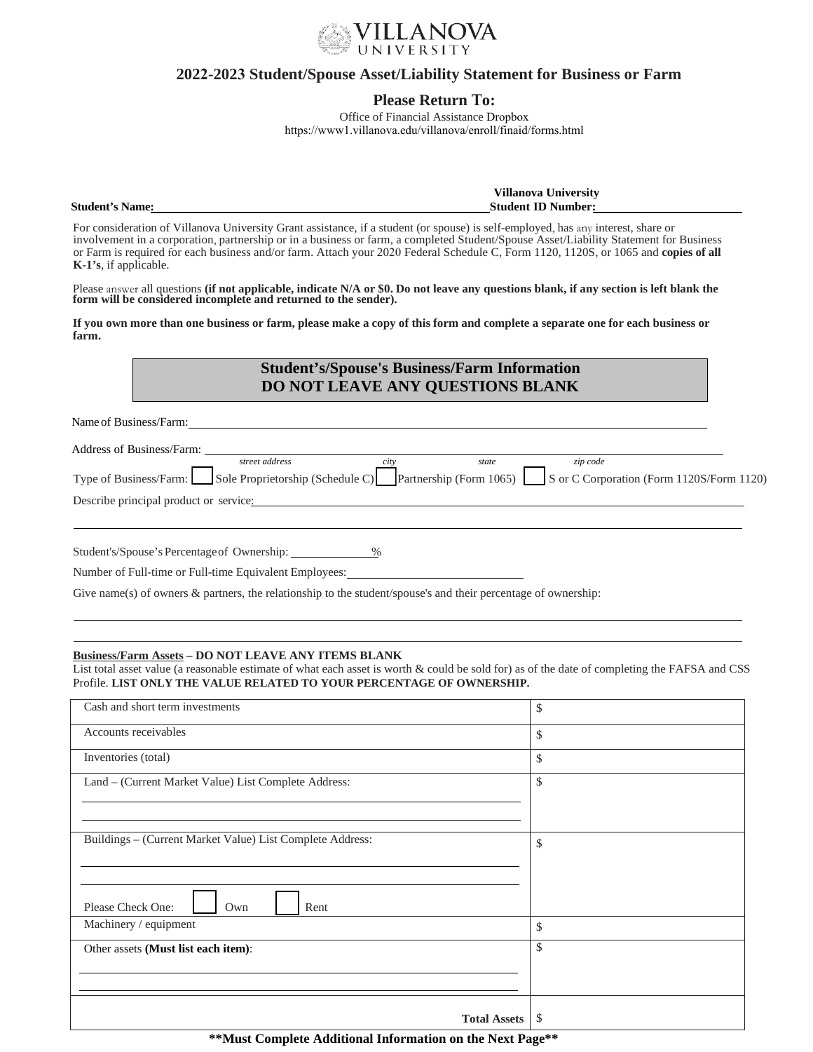

## **2022-2023 Student/Spouse Asset/Liability Statement for Business or Farm**

## **Please Return To:**

Office of Financial Assistance Dropbox https://www1.villanova.edu/villanova/enroll/finaid/forms.html

**Student's Name:** 

**Villanova University Student ID Number:** 

For consideration of Villanova University Grant assistance, if a student (or spouse) is self-employed, has any interest, share or involvement in a corporation, partnership or in a business or farm, a completed Student/Spouse Asset/Liability Statement for Business or Farm is required for each business and/or farm. Attach your 2020 Federal Schedule C, Form 1120, 1120S, or 1065 and **copies of all K-1's**, if applicable.

Please answer all questions (<mark>if not applicable, indicate N/A or \$0. Do not leave any questions blank, if any section is left blank the<br>form will be considered incomplete and returned to the sender).</mark>

**If you own more than one business or farm, please make a copy of this form and complete a separate one for each business or farm.**

# **Student's/Spouse's Business/Farm Information DO NOT LEAVE ANY QUESTIONS BLANK**

Name of Business/Farm:

| Address of Business/Farm:              |                                                                                                                           |       |          |  |
|----------------------------------------|---------------------------------------------------------------------------------------------------------------------------|-------|----------|--|
|                                        | street address                                                                                                            | state | zip code |  |
|                                        | Type of Business/Farm: Sole Proprietorship (Schedule C) Partnership (Form 1065) S or C Corporation (Form 1120S/Form 1120) |       |          |  |
| Describe principal product or service: |                                                                                                                           |       |          |  |
|                                        |                                                                                                                           |       |          |  |

Student's/Spouse's Percentage of Ownership: \_\_\_\_\_\_\_\_\_\_\_\_\_\_%

Number of Full-time or Full-time Equivalent Employees:

Give name(s) of owners  $\&$  partners, the relationship to the student/spouse's and their percentage of ownership:

#### **Business/Farm Assets – DO NOT LEAVE ANY ITEMS BLANK**

List total asset value (a reasonable estimate of what each asset is worth & could be sold for) as of the date of completing the FAFSA and CSS Profile. **LIST ONLY THE VALUE RELATED TO YOUR PERCENTAGE OF OWNERSHIP.**

| Cash and short term investments                           | \$ |
|-----------------------------------------------------------|----|
| Accounts receivables                                      | \$ |
| Inventories (total)                                       | \$ |
| Land - (Current Market Value) List Complete Address:      | \$ |
|                                                           |    |
|                                                           |    |
| Buildings - (Current Market Value) List Complete Address: | \$ |
|                                                           |    |
| Please Check One:<br>Rent<br>Own                          |    |
| Machinery / equipment                                     | \$ |
| Other assets (Must list each item):                       | \$ |
|                                                           |    |
|                                                           |    |
| <b>Total Assets</b>                                       | S  |

**\*\*Must Complete Additional Information on the Next Page\*\***